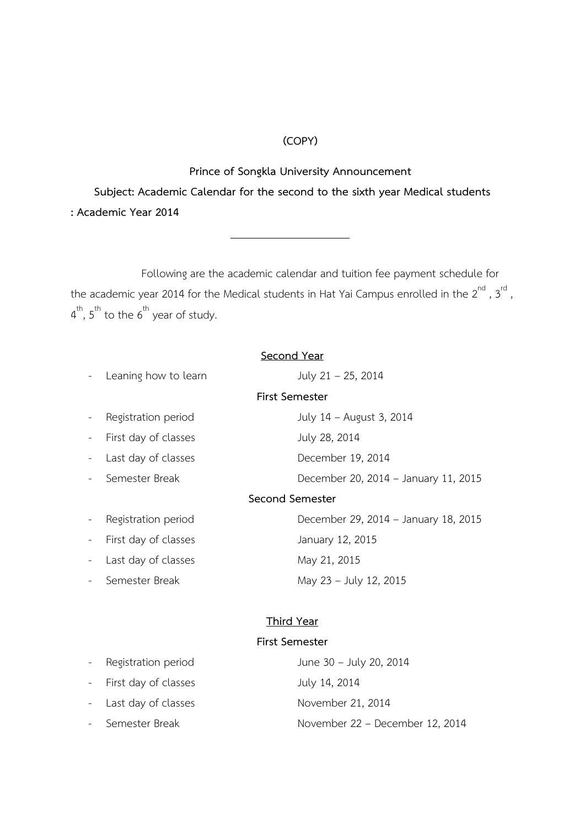## **(COPY)**

## **Prince of Songkla University Announcement**

**Subject: Academic Calendar for the second to the sixth year Medical students : Academic Year 2014**

Following are the academic calendar and tuition fee payment schedule for the academic year 2014 for the Medical students in Hat Yai Campus enrolled in the  $2^{\mathsf{nd}}$  ,  $3^{\mathsf{rd}}$  ,  $4^{\text{th}}$ ,  $5^{\text{th}}$  to the  $6^{\text{th}}$  year of study.

#### **Second Year**

- Leaning how to learn  $July 21 25, 2014$ 
	-

# **First Semester**

- First day of classes July 28, 2014
- Last day of classes December 19, 2014
- 
- 
- First day of classes January 12, 2015
- Last day of classes May 21, 2015
- 

- Registration period July 14 – August 3, 2014

- Semester Break **December 20, 2014 – January 11, 2015** 

#### **Second Semester**

- Registration period December 29, 2014 – January 18, 2015 Semester Break May 23 – July 12, 2015

#### **Third Year**

# **First Semester**

| - Registration period  | June 30 - July 20, 2014         |
|------------------------|---------------------------------|
| - First day of classes | July 14, 2014                   |
| - Last day of classes  | November 21, 2014               |
| - Semester Break       | November 22 - December 12, 2014 |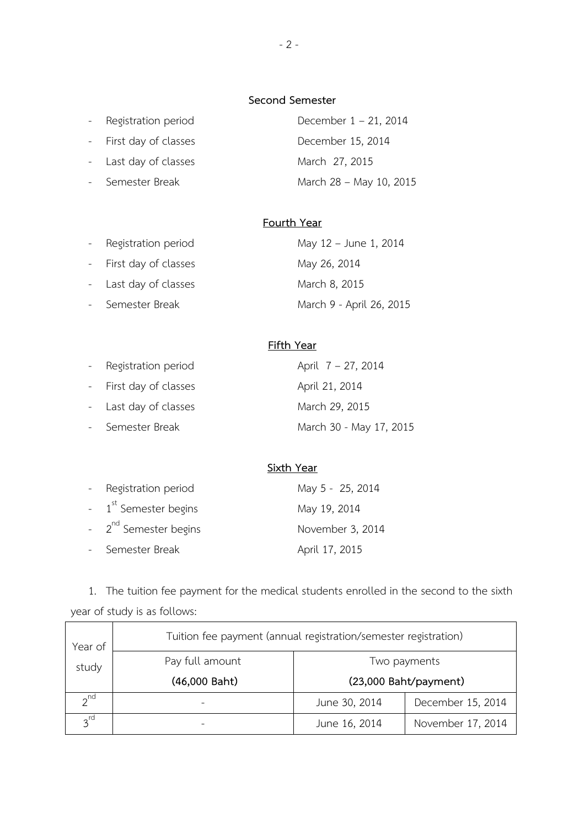#### **Second Semester**

|  | Registration period |  |
|--|---------------------|--|
|--|---------------------|--|

- First day of classes December 15, 2014

- Last day of classes March 27, 2015

December 1 – 21, 2014 - Semester Break March 28 – May 10, 2015

# **Fourth Year**

| - Registration period  | May 12 - June 1, 2014    |
|------------------------|--------------------------|
| - First day of classes | May 26, 2014             |
| - Last day of classes  | March 8, 2015            |
| - Semester Break       | March 9 - April 26, 2015 |

# **Fifth Year**

| - Registration period  | April 7 – 27, 2014      |
|------------------------|-------------------------|
| - First day of classes | April 21, 2014          |
| - Last day of classes  | March 29, 2015          |
| - Semester Break       | March 30 - May 17, 2015 |

# **Sixth Year**

| - Registration period              | May 5 - 25, 2014 |
|------------------------------------|------------------|
| $-1$ <sup>st</sup> Semester begins | May 19, 2014     |
| - 2 <sup>nd</sup> Semester begins  | November 3, 2014 |
| - Semester Break                   | April 17, 2015   |

1. The tuition fee payment for the medical students enrolled in the second to the sixth year of study is as follows:

| Year of         | Tuition fee payment (annual registration/semester registration) |                       |                   |
|-----------------|-----------------------------------------------------------------|-----------------------|-------------------|
| study           | Pay full amount                                                 | Two payments          |                   |
|                 | (46,000 Baht)                                                   | (23,000 Baht/payment) |                   |
| $2^{nd}$        |                                                                 | June 30, 2014         | December 15, 2014 |
| $3^{\text{rd}}$ |                                                                 | June 16, 2014         | November 17, 2014 |